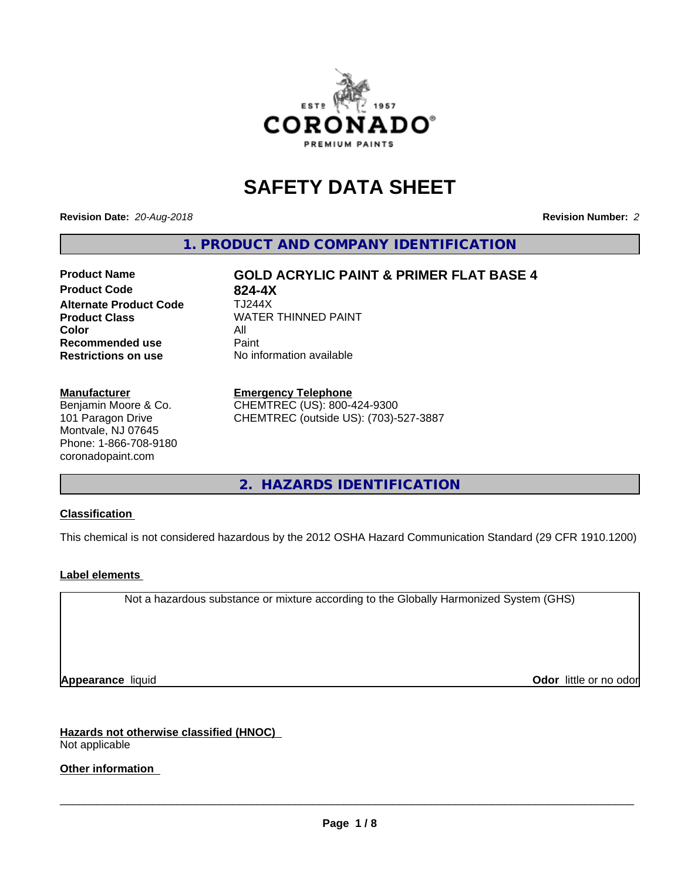

# **SAFETY DATA SHEET**

**Revision Date:** *20-Aug-2018* **Revision Number:** *2*

**1. PRODUCT AND COMPANY IDENTIFICATION**

## **Product Code 624-4X<br>Alternate Product Code 6144X Alternate Product Code Product Class WATER THINNED PAINT Color** All All<br>**Recommended use** Paint **Recommended use Restrictions on use** No information available

**Product Name GOLD ACRYLIC PAINT & PRIMER FLAT BASE 4**

### **Manufacturer**

Benjamin Moore & Co. 101 Paragon Drive Montvale, NJ 07645 Phone: 1-866-708-9180 coronadopaint.com

#### **Emergency Telephone**

CHEMTREC (US): 800-424-9300 CHEMTREC (outside US): (703)-527-3887

**2. HAZARDS IDENTIFICATION**

## **Classification**

This chemical is not considered hazardous by the 2012 OSHA Hazard Communication Standard (29 CFR 1910.1200)

## **Label elements**

Not a hazardous substance or mixture according to the Globally Harmonized System (GHS)

**Appearance** liquid **Contract Contract Contract Contract Contract Contract Contract Contract Contract Contract Contract Contract Contract Contract Contract Contract Contract Contract Contract Contract Contract Contract Con** 

**Hazards not otherwise classified (HNOC)** Not applicable

## **Other information**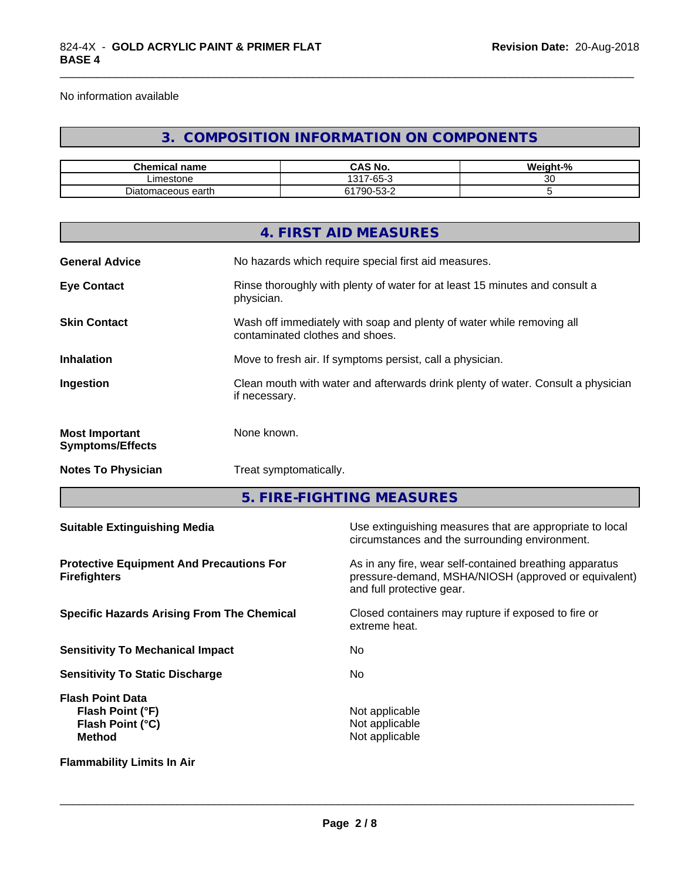No information available

## **3. COMPOSITION INFORMATION ON COMPONENTS**

\_\_\_\_\_\_\_\_\_\_\_\_\_\_\_\_\_\_\_\_\_\_\_\_\_\_\_\_\_\_\_\_\_\_\_\_\_\_\_\_\_\_\_\_\_\_\_\_\_\_\_\_\_\_\_\_\_\_\_\_\_\_\_\_\_\_\_\_\_\_\_\_\_\_\_\_\_\_\_\_\_\_\_\_\_\_\_\_\_\_\_\_\_

| Chemical<br><b>name</b> | CAS No.                                | <br>$\overline{\phantom{a}}$<br>Weight-% |
|-------------------------|----------------------------------------|------------------------------------------|
| ∟imestone               | 7-65-<br>1217<br>$\sim$<br>ا ت         | u                                        |
| Diatomaceous earth      | $\sim$ $\sim$<br>700<br>∼-<br>ັບ<br>__ |                                          |

|                                                  | 4. FIRST AID MEASURES                                                                                    |
|--------------------------------------------------|----------------------------------------------------------------------------------------------------------|
| <b>General Advice</b>                            | No hazards which require special first aid measures.                                                     |
| <b>Eye Contact</b>                               | Rinse thoroughly with plenty of water for at least 15 minutes and consult a<br>physician.                |
| <b>Skin Contact</b>                              | Wash off immediately with soap and plenty of water while removing all<br>contaminated clothes and shoes. |
| <b>Inhalation</b>                                | Move to fresh air. If symptoms persist, call a physician.                                                |
| Ingestion                                        | Clean mouth with water and afterwards drink plenty of water. Consult a physician<br>if necessary.        |
| <b>Most Important</b><br><b>Symptoms/Effects</b> | None known.                                                                                              |
| <b>Notes To Physician</b>                        | Treat symptomatically.                                                                                   |
|                                                  |                                                                                                          |

**5. FIRE-FIGHTING MEASURES**

| <b>Suitable Extinguishing Media</b>                                              | Use extinguishing measures that are appropriate to local<br>circumstances and the surrounding environment.                                   |
|----------------------------------------------------------------------------------|----------------------------------------------------------------------------------------------------------------------------------------------|
| <b>Protective Equipment And Precautions For</b><br><b>Firefighters</b>           | As in any fire, wear self-contained breathing apparatus<br>pressure-demand, MSHA/NIOSH (approved or equivalent)<br>and full protective gear. |
| <b>Specific Hazards Arising From The Chemical</b>                                | Closed containers may rupture if exposed to fire or<br>extreme heat.                                                                         |
| <b>Sensitivity To Mechanical Impact</b>                                          | No.                                                                                                                                          |
| <b>Sensitivity To Static Discharge</b>                                           | No.                                                                                                                                          |
| <b>Flash Point Data</b><br>Flash Point (°F)<br>Flash Point (°C)<br><b>Method</b> | Not applicable<br>Not applicable<br>Not applicable                                                                                           |
| <b>Flammability Limits In Air</b>                                                |                                                                                                                                              |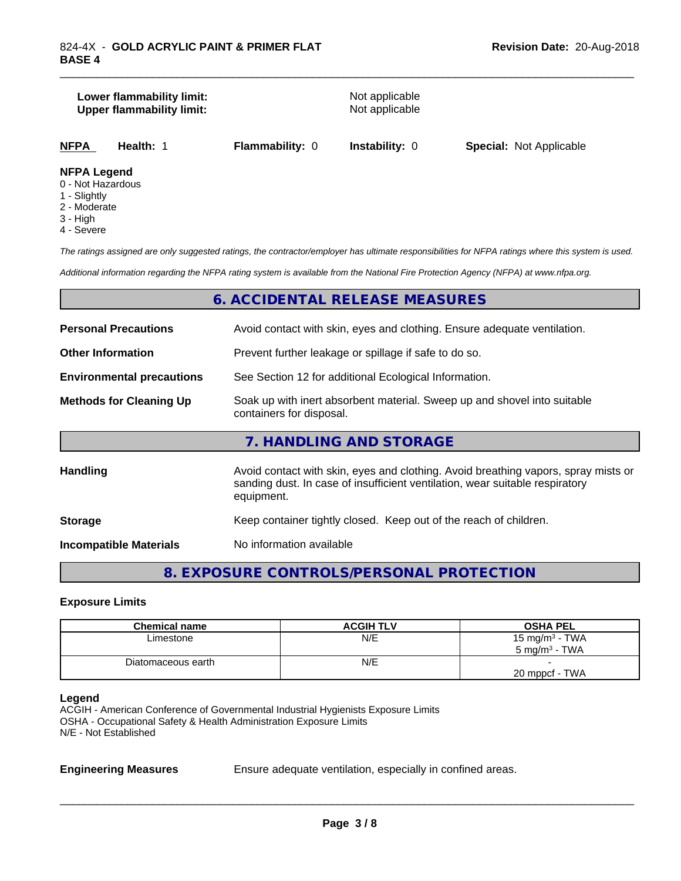#### **Lower flammability limit:**<br> **Upper flammability limit:**<br>
Upper flammability limit:<br>
Not applicable **Upper flammability limit:**

\_\_\_\_\_\_\_\_\_\_\_\_\_\_\_\_\_\_\_\_\_\_\_\_\_\_\_\_\_\_\_\_\_\_\_\_\_\_\_\_\_\_\_\_\_\_\_\_\_\_\_\_\_\_\_\_\_\_\_\_\_\_\_\_\_\_\_\_\_\_\_\_\_\_\_\_\_\_\_\_\_\_\_\_\_\_\_\_\_\_\_\_\_

**NFPA Health:** 1 **Flammability:** 0 **Instability:** 0 **Special:** Not Applicable

#### **NFPA Legend**

- 0 Not Hazardous
- 1 Slightly
- 2 Moderate
- 3 High
- 4 Severe

*The ratings assigned are only suggested ratings, the contractor/employer has ultimate responsibilities for NFPA ratings where this system is used.*

*Additional information regarding the NFPA rating system is available from the National Fire Protection Agency (NFPA) at www.nfpa.org.*

## **6. ACCIDENTAL RELEASE MEASURES**

| <b>Personal Precautions</b>      | Avoid contact with skin, eyes and clothing. Ensure adequate ventilation.                                                                                                         |  |  |
|----------------------------------|----------------------------------------------------------------------------------------------------------------------------------------------------------------------------------|--|--|
| <b>Other Information</b>         | Prevent further leakage or spillage if safe to do so.                                                                                                                            |  |  |
| <b>Environmental precautions</b> | See Section 12 for additional Ecological Information.                                                                                                                            |  |  |
| <b>Methods for Cleaning Up</b>   | Soak up with inert absorbent material. Sweep up and shovel into suitable<br>containers for disposal.                                                                             |  |  |
|                                  | 7. HANDLING AND STORAGE                                                                                                                                                          |  |  |
| Handling                         | Avoid contact with skin, eyes and clothing. Avoid breathing vapors, spray mists or<br>sanding dust. In case of insufficient ventilation, wear suitable respiratory<br>equipment. |  |  |
| <b>Storage</b>                   | Keep container tightly closed. Keep out of the reach of children.                                                                                                                |  |  |
| <b>Incompatible Materials</b>    | No information available                                                                                                                                                         |  |  |

## **8. EXPOSURE CONTROLS/PERSONAL PROTECTION**

#### **Exposure Limits**

| <b>Chemical name</b> | <b>ACGIH TLV</b> | <b>OSHA PEL</b>            |
|----------------------|------------------|----------------------------|
| Limestone            | N/E              | 15 mg/m <sup>3</sup> - TWA |
|                      |                  | $5 \text{ ma/m}^3$ - TWA   |
| Diatomaceous earth   | N/E              |                            |
|                      |                  | 20 mppcf - TWA             |

**Legend**

ACGIH - American Conference of Governmental Industrial Hygienists Exposure Limits OSHA - Occupational Safety & Health Administration Exposure Limits N/E - Not Established

**Engineering Measures** Ensure adequate ventilation, especially in confined areas.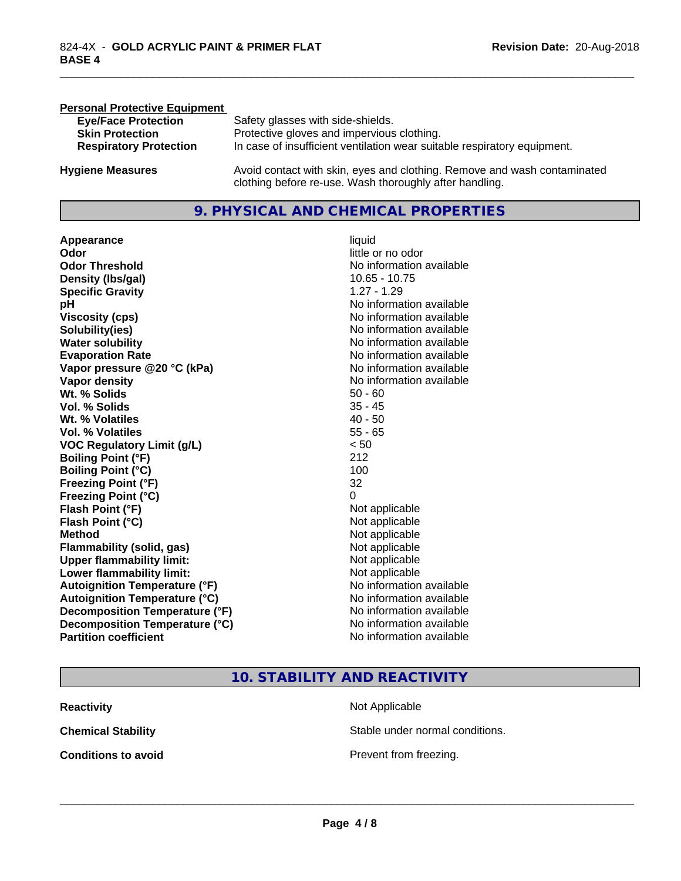| <b>Personal Protective Equipment</b> |                                                                                                                                     |
|--------------------------------------|-------------------------------------------------------------------------------------------------------------------------------------|
| <b>Eye/Face Protection</b>           | Safety glasses with side-shields.                                                                                                   |
| <b>Skin Protection</b>               | Protective gloves and impervious clothing.                                                                                          |
| <b>Respiratory Protection</b>        | In case of insufficient ventilation wear suitable respiratory equipment.                                                            |
| <b>Hygiene Measures</b>              | Avoid contact with skin, eyes and clothing. Remove and wash contaminated<br>clothing before re-use. Wash thoroughly after handling. |

## **9. PHYSICAL AND CHEMICAL PROPERTIES**

**Appearance** liquid **Odor** little or no odor **Odor Threshold**<br> **Density (Ibs/gal)**<br> **Density (Ibs/gal)**<br> **No information available**<br>
10.65 - 10.75 **Density (Ibs/gal) Specific Gravity** 1.27 - 1.29 **pH pH**  $\blacksquare$ **Viscosity (cps)** No information available<br> **Solubility(ies)** No information available<br>
No information available **Solubility(ies)**<br> **No** information available<br> **Water solubility**<br> **Water solubility Evaporation Rate Evaporation Rate No information available Vapor pressure @20 °C (kPa)** No information available **Vapor density**<br> **Vapor density**<br> **With % Solids**<br>
With % Solids  $\begin{array}{ccc}\n & 50 - 60 \\
\end{array}$ Wt. % Solids **Vol. % Solids** 35 - 45 **Wt.** % Volatiles 40 - 50 **Vol. % Volatiles** 55 - 65 **VOC Regulatory Limit (g/L)** < 50 **Boiling Point (°F)** 212 **Boiling Point**  $(^{\circ}C)$  100 **Freezing Point (°F)** 32 **Freezing Point (°C)** 0 **Flash Point (°F)**<br> **Flash Point (°C)**<br> **Flash Point (°C)**<br> **C** Not applicable **Flash Point (°C) Method** Not applicable not applicable not applicable not applicable not applicable not applicable not applicable not applicable not applicable not applicable not applicable not applicable not applicable not applicable not **Flammability (solid, gas)**<br> **Upper flammability limit:**<br>
Upper flammability limit:<br>  $\begin{array}{ccc}\n\bullet & \bullet & \bullet \\
\bullet & \bullet & \bullet\n\end{array}$  Not applicable **Upper flammability limit: Lower flammability limit:** Not applicable **Autoignition Temperature (°F)** No information available **Autoignition Temperature (°C)** No information available **Decomposition Temperature (°F)** No information available **Decomposition Temperature (°C)**<br> **Partition coefficient**<br> **Partition coefficient**<br> **No** information available

**No information available No information available** 

\_\_\_\_\_\_\_\_\_\_\_\_\_\_\_\_\_\_\_\_\_\_\_\_\_\_\_\_\_\_\_\_\_\_\_\_\_\_\_\_\_\_\_\_\_\_\_\_\_\_\_\_\_\_\_\_\_\_\_\_\_\_\_\_\_\_\_\_\_\_\_\_\_\_\_\_\_\_\_\_\_\_\_\_\_\_\_\_\_\_\_\_\_

## **10. STABILITY AND REACTIVITY**

| <b>Reactivity</b>          | Not Applicable         |
|----------------------------|------------------------|
| <b>Chemical Stability</b>  | Stable under normal c  |
| <b>Conditions to avoid</b> | Prevent from freezing. |

**Not Applicable** Stable under normal conditions.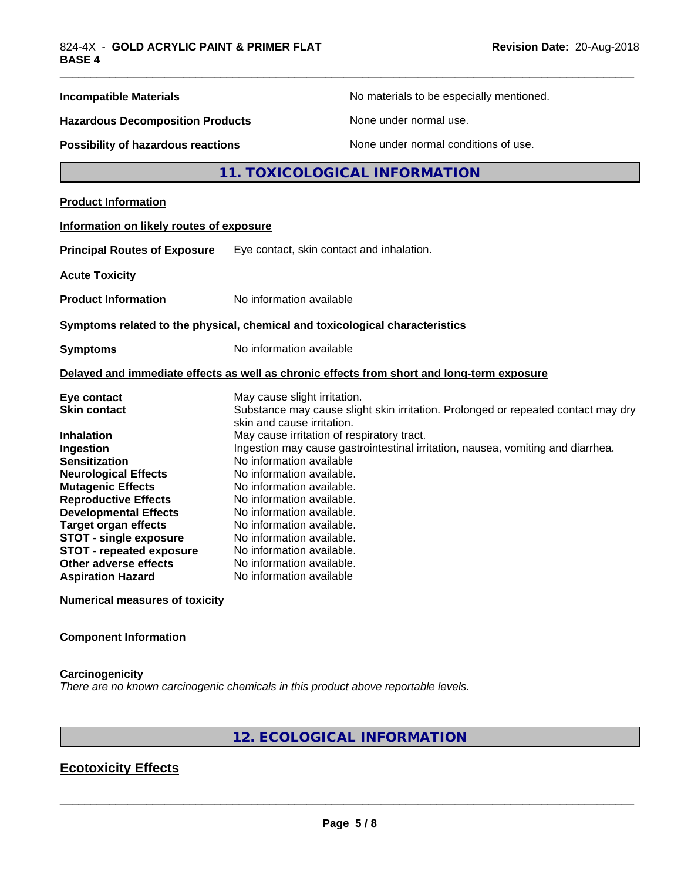| <b>Incompatible Materials</b>                                                                                                                                                                            | No materials to be especially mentioned.                                                                                                                                                                                                                                                                   |  |  |
|----------------------------------------------------------------------------------------------------------------------------------------------------------------------------------------------------------|------------------------------------------------------------------------------------------------------------------------------------------------------------------------------------------------------------------------------------------------------------------------------------------------------------|--|--|
| <b>Hazardous Decomposition Products</b>                                                                                                                                                                  | None under normal use.                                                                                                                                                                                                                                                                                     |  |  |
| Possibility of hazardous reactions                                                                                                                                                                       | None under normal conditions of use.                                                                                                                                                                                                                                                                       |  |  |
|                                                                                                                                                                                                          | 11. TOXICOLOGICAL INFORMATION                                                                                                                                                                                                                                                                              |  |  |
| <b>Product Information</b>                                                                                                                                                                               |                                                                                                                                                                                                                                                                                                            |  |  |
| Information on likely routes of exposure                                                                                                                                                                 |                                                                                                                                                                                                                                                                                                            |  |  |
| <b>Principal Routes of Exposure</b>                                                                                                                                                                      | Eye contact, skin contact and inhalation.                                                                                                                                                                                                                                                                  |  |  |
| <b>Acute Toxicity</b>                                                                                                                                                                                    |                                                                                                                                                                                                                                                                                                            |  |  |
| <b>Product Information</b>                                                                                                                                                                               | No information available                                                                                                                                                                                                                                                                                   |  |  |
|                                                                                                                                                                                                          | Symptoms related to the physical, chemical and toxicological characteristics                                                                                                                                                                                                                               |  |  |
| <b>Symptoms</b>                                                                                                                                                                                          | No information available                                                                                                                                                                                                                                                                                   |  |  |
|                                                                                                                                                                                                          | Delayed and immediate effects as well as chronic effects from short and long-term exposure                                                                                                                                                                                                                 |  |  |
| Eye contact<br><b>Skin contact</b>                                                                                                                                                                       | May cause slight irritation.<br>Substance may cause slight skin irritation. Prolonged or repeated contact may dry<br>skin and cause irritation.                                                                                                                                                            |  |  |
| Inhalation<br>Ingestion<br><b>Sensitization</b><br><b>Neurological Effects</b><br><b>Mutagenic Effects</b><br><b>Reproductive Effects</b><br><b>Developmental Effects</b><br><b>Target organ effects</b> | May cause irritation of respiratory tract.<br>Ingestion may cause gastrointestinal irritation, nausea, vomiting and diarrhea.<br>No information available<br>No information available.<br>No information available.<br>No information available.<br>No information available.<br>No information available. |  |  |
| <b>STOT - single exposure</b><br><b>STOT - repeated exposure</b><br>Other adverse effects<br><b>Aspiration Hazard</b>                                                                                    | No information available.<br>No information available.<br>No information available.<br>No information available                                                                                                                                                                                            |  |  |
| <b>Numerical measures of toxicity</b>                                                                                                                                                                    |                                                                                                                                                                                                                                                                                                            |  |  |

## **Component Information**

**Carcinogenicity** *There are no known carcinogenic chemicals in this product above reportable levels.*

## **12. ECOLOGICAL INFORMATION**

## **Ecotoxicity Effects**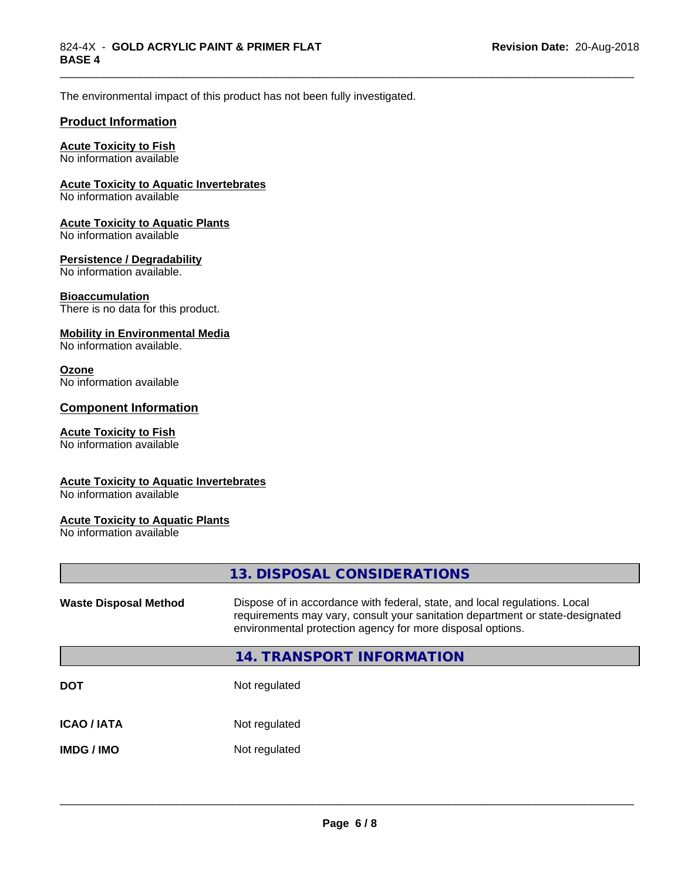\_\_\_\_\_\_\_\_\_\_\_\_\_\_\_\_\_\_\_\_\_\_\_\_\_\_\_\_\_\_\_\_\_\_\_\_\_\_\_\_\_\_\_\_\_\_\_\_\_\_\_\_\_\_\_\_\_\_\_\_\_\_\_\_\_\_\_\_\_\_\_\_\_\_\_\_\_\_\_\_\_\_\_\_\_\_\_\_\_\_\_\_\_

The environmental impact of this product has not been fully investigated.

#### **Product Information**

## **Acute Toxicity to Fish**

No information available

#### **Acute Toxicity to Aquatic Invertebrates**

No information available

#### **Acute Toxicity to Aquatic Plants**

No information available

#### **Persistence / Degradability**

No information available.

#### **Bioaccumulation**

There is no data for this product.

#### **Mobility in Environmental Media**

No information available.

#### **Ozone**

No information available

#### **Component Information**

#### **Acute Toxicity to Fish**

No information available

#### **Acute Toxicity to Aquatic Invertebrates**

No information available

#### **Acute Toxicity to Aquatic Plants**

No information available

|                              | 13. DISPOSAL CONSIDERATIONS                                                                                                                                                                                               |
|------------------------------|---------------------------------------------------------------------------------------------------------------------------------------------------------------------------------------------------------------------------|
| <b>Waste Disposal Method</b> | Dispose of in accordance with federal, state, and local regulations. Local<br>requirements may vary, consult your sanitation department or state-designated<br>environmental protection agency for more disposal options. |
|                              | 14. TRANSPORT INFORMATION                                                                                                                                                                                                 |
| <b>DOT</b>                   | Not regulated                                                                                                                                                                                                             |
| <b>ICAO / IATA</b>           | Not regulated                                                                                                                                                                                                             |
| <b>IMDG/IMO</b>              | Not regulated                                                                                                                                                                                                             |
|                              |                                                                                                                                                                                                                           |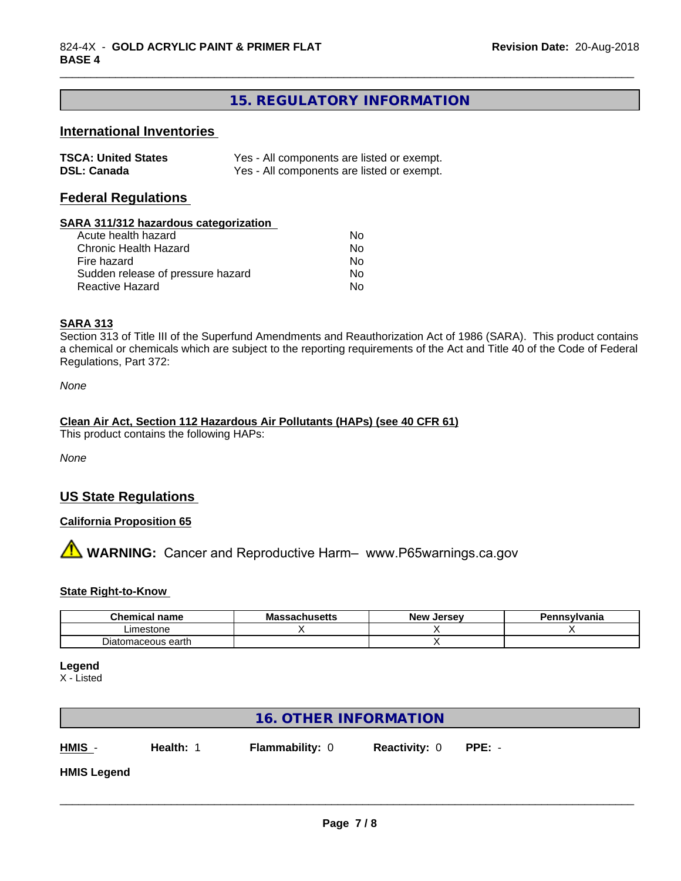## **15. REGULATORY INFORMATION**

\_\_\_\_\_\_\_\_\_\_\_\_\_\_\_\_\_\_\_\_\_\_\_\_\_\_\_\_\_\_\_\_\_\_\_\_\_\_\_\_\_\_\_\_\_\_\_\_\_\_\_\_\_\_\_\_\_\_\_\_\_\_\_\_\_\_\_\_\_\_\_\_\_\_\_\_\_\_\_\_\_\_\_\_\_\_\_\_\_\_\_\_\_

## **International Inventories**

| <b>TSCA: United States</b> | Yes - All components are listed or exempt. |
|----------------------------|--------------------------------------------|
| <b>DSL: Canada</b>         | Yes - All components are listed or exempt. |

## **Federal Regulations**

#### **SARA 311/312 hazardous categorization**

| Acute health hazard               | N٥ |  |
|-----------------------------------|----|--|
| Chronic Health Hazard             | Nο |  |
| Fire hazard                       | No |  |
| Sudden release of pressure hazard | Nο |  |
| Reactive Hazard                   | Nο |  |

## **SARA 313**

Section 313 of Title III of the Superfund Amendments and Reauthorization Act of 1986 (SARA). This product contains a chemical or chemicals which are subject to the reporting requirements of the Act and Title 40 of the Code of Federal Regulations, Part 372:

*None*

#### **Clean Air Act,Section 112 Hazardous Air Pollutants (HAPs) (see 40 CFR 61)**

This product contains the following HAPs:

*None*

## **US State Regulations**

## **California Proposition 65**

**AVIMARNING:** Cancer and Reproductive Harm– www.P65warnings.ca.gov

#### **State Right-to-Know**

| <b>Chemical name</b>             | ۸۸.<br>Ma<br>របាល១ចលេ | Jersev<br>– Ne™ | าnsvlvania |
|----------------------------------|-----------------------|-----------------|------------|
| Limestone                        |                       |                 |            |
| -<br>earth<br>ceous<br>іню<br>ты |                       |                 |            |

**Legend**

X - Listed

|                    |           | <b>16. OTHER INFORMATION</b> |                      |          |  |
|--------------------|-----------|------------------------------|----------------------|----------|--|
| HMIS -             | Health: 1 | <b>Flammability: 0</b>       | <b>Reactivity: 0</b> | $PPE: -$ |  |
| <b>HMIS Legend</b> |           |                              |                      |          |  |
|                    |           |                              |                      |          |  |